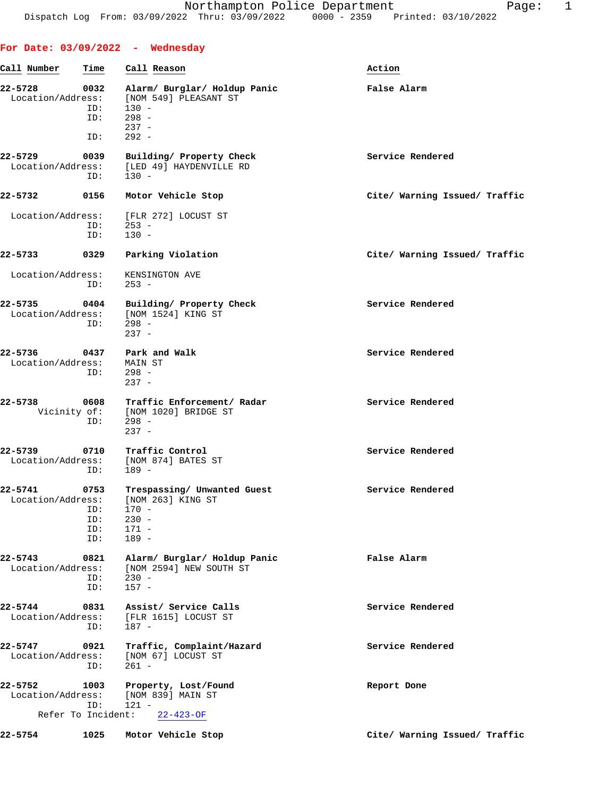| Call Number                  | Time        | Call Reason                                                     | Action                        |
|------------------------------|-------------|-----------------------------------------------------------------|-------------------------------|
| 22-5728                      | 0032        | Alarm/ Burglar/ Holdup Panic<br>[NOM 549] PLEASANT ST           | False Alarm                   |
| Location/Address:            | ID:<br>ID:  | $130 -$<br>$298 -$                                              |                               |
|                              | ID:         | $237 -$<br>$292 -$                                              |                               |
|                              |             |                                                                 |                               |
| 22-5729<br>Location/Address: | 0039<br>ID: | Building/ Property Check<br>[LED 49] HAYDENVILLE RD<br>$130 -$  | Service Rendered              |
| 22-5732                      | 0156        | Motor Vehicle Stop                                              | Cite/ Warning Issued/ Traffic |
| Location/Address:            | ID:         | [FLR 272] LOCUST ST<br>$253 -$                                  |                               |
|                              | ID:         | $130 -$                                                         |                               |
| 22-5733                      | 0329        | Parking Violation                                               | Cite/ Warning Issued/ Traffic |
| Location/Address:            | ID:         | KENSINGTON AVE<br>$253 -$                                       |                               |
| 22-5735<br>Location/Address: |             | 0404 Building/ Property Check<br>[NOM 1524] KING ST             | Service Rendered              |
|                              | ID:         | $298 -$<br>$237 -$                                              |                               |
| 22-5736<br>Location/Address: | 0437        | Park and Walk<br>MAIN ST                                        | Service Rendered              |
|                              | ID:         | $298 -$<br>$237 -$                                              |                               |
| 22-5738                      | 0608        | Traffic Enforcement/ Radar<br>Vicinity of: [NOM 1020] BRIDGE ST | Service Rendered              |
|                              | ID:         | 298 -<br>$237 -$                                                |                               |
| 22-5739                      | 0710        | Traffic Control                                                 | Service Rendered              |
| Location/Address:            | ID:         | [NOM 874] BATES ST<br>189 -                                     |                               |
| 22-5741<br>Location/Address: | 0753        | Trespassing/ Unwanted Guest<br>[NOM 263] KING ST                | Service Rendered              |
|                              | ID:         | $170 -$                                                         |                               |
|                              | ID:<br>ID:  | $230 -$<br>$171 -$                                              |                               |
|                              | ID:         | $189 -$                                                         |                               |
| 22-5743<br>Location/Address: | 0821        | Alarm/ Burglar/ Holdup Panic<br>[NOM 2594] NEW SOUTH ST         | False Alarm                   |
|                              | ID:<br>ID:  | $230 -$<br>$157 -$                                              |                               |
| 22-5744                      | 0831        | Assist/ Service Calls                                           | Service Rendered              |
| Location/Address:            | ID:         | [FLR 1615] LOCUST ST<br>$187 -$                                 |                               |
| 22-5747<br>Location/Address: | 0921        | Traffic, Complaint/Hazard<br>[NOM 67] LOCUST ST                 | Service Rendered              |
|                              | ID:         | $261 -$                                                         |                               |
| 22-5752<br>Location/Address: | 1003        | Property, Lost/Found<br>[NOM 839] MAIN ST                       | Report Done                   |
| Refer To Incident:           | ID:         | $121 -$<br>$22 - 423 - OF$                                      |                               |
| 22-5754                      | 1025        | Motor Vehicle Stop                                              | Cite/ Warning Issued/ Traffic |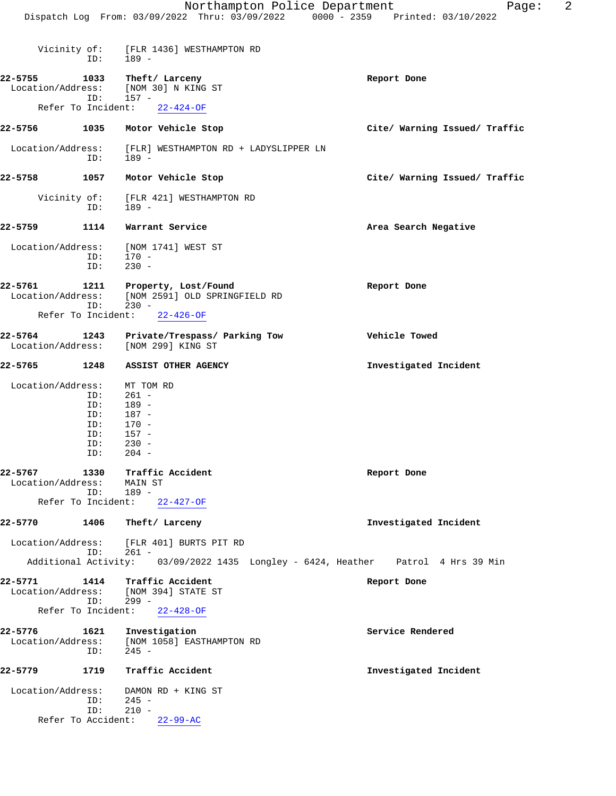Vicinity of: [FLR 1436] WESTHAMPTON RD

ID: 189 -

**22-5755 1033 Theft/ Larceny Report Done** Location/Address: [NOM 30] N KING ST ID: 157 - Refer To Incident: 22-424-OF **22-5756 1035 Motor Vehicle Stop Cite/ Warning Issued/ Traffic** Location/Address: [FLR] WESTHAMPTON RD + LADYSLIPPER LN ID: 189 - **22-5758 1057 Motor Vehicle Stop Cite/ Warning Issued/ Traffic** Vicinity of: [FLR 421] WESTHAMPTON RD<br>ID: 189 - ID: 189 - **22-5759 1114 Warrant Service Area Search Negative** Location/Address: [NOM 1741] WEST ST ID: 170 - ID: 230 - **22-5761 1211 Property, Lost/Found Report Done** Location/Address: [NOM 2591] OLD SPRINGFIELD RD ID: 230 - Refer To Incident: 22-426-OF **22-5764 1243 Private/Trespass/ Parking Tow Vehicle Towed** Location/Address: [NOM 299] KING ST **22-5765 1248 ASSIST OTHER AGENCY Investigated Incident** Location/Address: MT TOM RD ID: 261 - ID: 189 -<br>ID: 187 -ID: 187 -<br>ID: 170 - ID: 170 - ID: 157 -<br>ID: 230 - $230 -$  ID: 204 - **22-5767 1330 Traffic Accident Report Done** Location/Address: ress: MAIN ;<br>ID: 189 - Refer To Incident: 22-427-OF **22-5770 1406 Theft/ Larceny Investigated Incident** Location/Address: [FLR 401] BURTS PIT RD ID: 261 - Additional Activity: 03/09/2022 1435 Longley - 6424, Heather Patrol 4 Hrs 39 Min **22-5771 1414 Traffic Accident Report Done** Location/Address: [NOM 394] STATE ST ID: 299 - Refer To Incident: 22-428-OF **22-5776 1621 Investigation Service Rendered**

 Location/Address: [NOM 1058] EASTHAMPTON RD ID: 245 - **22-5779 1719 Traffic Accident Investigated Incident**

Location/Address: DAMON RD + KING ST<br>ID: 245 - ID: 245 - ID: 210 - Refer To Accident: 22-99-AC